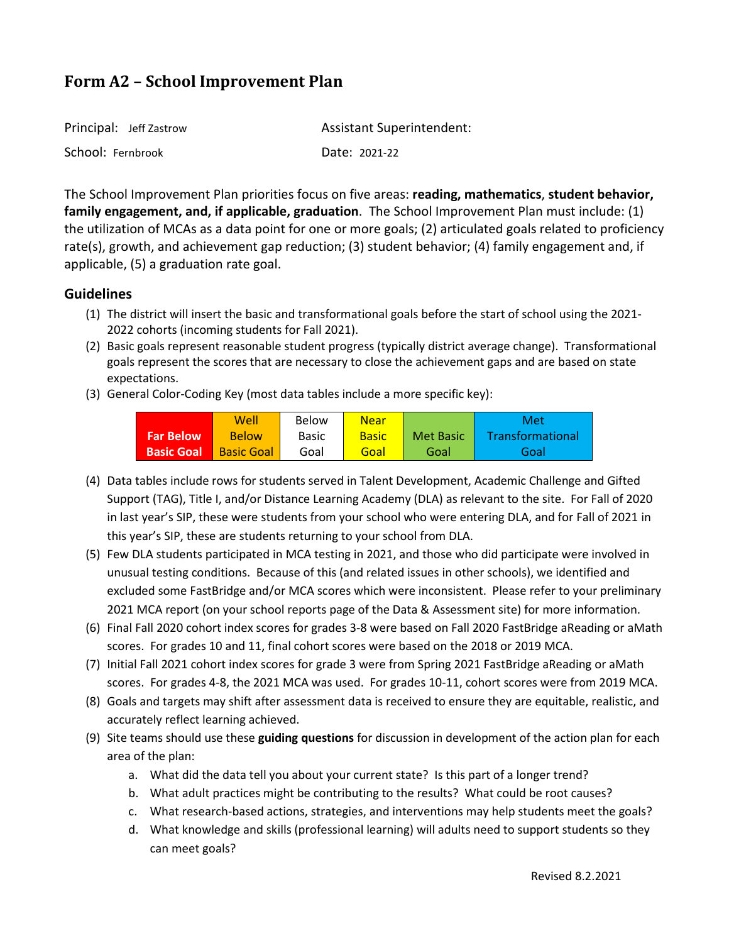| Principal: Jeff Zastrow | <b>Assistant Superintendent:</b> |
|-------------------------|----------------------------------|
| School: Fernbrook       | Date: 2021-22                    |

The School Improvement Plan priorities focus on five areas: **reading, mathematics**, **student behavior, family engagement, and, if applicable, graduation**. The School Improvement Plan must include: (1) the utilization of MCAs as a data point for one or more goals; (2) articulated goals related to proficiency rate(s), growth, and achievement gap reduction; (3) student behavior; (4) family engagement and, if applicable, (5) a graduation rate goal.

### **Guidelines**

- (1) The district will insert the basic and transformational goals before the start of school using the 2021- 2022 cohorts (incoming students for Fall 2021).
- (2) Basic goals represent reasonable student progress (typically district average change). Transformational goals represent the scores that are necessary to close the achievement gaps and are based on state expectations.
- (3) General Color-Coding Key (most data tables include a more specific key):

|                   | Well              | Below        | <b>Near</b>  |           | Met              |
|-------------------|-------------------|--------------|--------------|-----------|------------------|
| <b>Far Below</b>  | <b>Below</b>      | <b>Basic</b> | <b>Basic</b> | Met Basic | Transformational |
| <b>Basic Goal</b> | <b>Basic Goal</b> | Goal         | Goal         | Goal      | Goal             |

- (4) Data tables include rows for students served in Talent Development, Academic Challenge and Gifted Support (TAG), Title I, and/or Distance Learning Academy (DLA) as relevant to the site. For Fall of 2020 in last year's SIP, these were students from your school who were entering DLA, and for Fall of 2021 in this year's SIP, these are students returning to your school from DLA.
- (5) Few DLA students participated in MCA testing in 2021, and those who did participate were involved in unusual testing conditions. Because of this (and related issues in other schools), we identified and excluded some FastBridge and/or MCA scores which were inconsistent. Please refer to your preliminary 2021 MCA report (on your school reports page of the Data & Assessment site) for more information.
- (6) Final Fall 2020 cohort index scores for grades 3-8 were based on Fall 2020 FastBridge aReading or aMath scores. For grades 10 and 11, final cohort scores were based on the 2018 or 2019 MCA.
- (7) Initial Fall 2021 cohort index scores for grade 3 were from Spring 2021 FastBridge aReading or aMath scores. For grades 4-8, the 2021 MCA was used. For grades 10-11, cohort scores were from 2019 MCA.
- (8) Goals and targets may shift after assessment data is received to ensure they are equitable, realistic, and accurately reflect learning achieved.
- (9) Site teams should use these **guiding questions** for discussion in development of the action plan for each area of the plan:
	- a. What did the data tell you about your current state? Is this part of a longer trend?
	- b. What adult practices might be contributing to the results? What could be root causes?
	- c. What research-based actions, strategies, and interventions may help students meet the goals?
	- d. What knowledge and skills (professional learning) will adults need to support students so they can meet goals?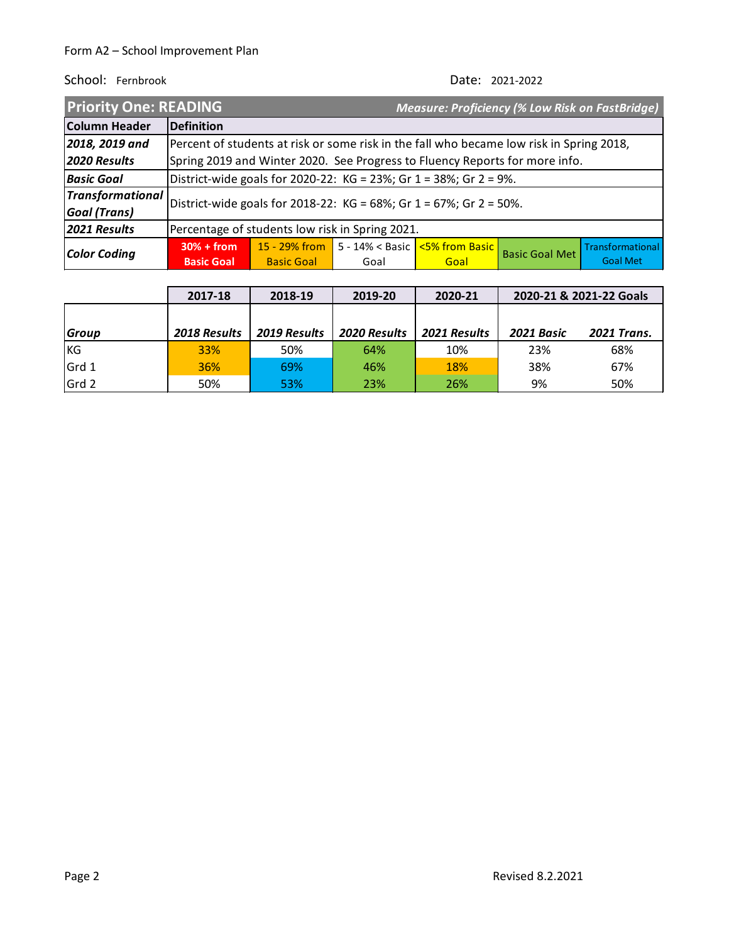| <b>Priority One: READING</b> |                                                                   |                                                                                          |                                                               |      | <b>Measure: Proficiency (% Low Risk on FastBridge)</b> |                  |
|------------------------------|-------------------------------------------------------------------|------------------------------------------------------------------------------------------|---------------------------------------------------------------|------|--------------------------------------------------------|------------------|
| <b>Column Header</b>         | Definition                                                        |                                                                                          |                                                               |      |                                                        |                  |
| 2018, 2019 and               |                                                                   | Percent of students at risk or some risk in the fall who became low risk in Spring 2018, |                                                               |      |                                                        |                  |
| 2020 Results                 |                                                                   | Spring 2019 and Winter 2020. See Progress to Fluency Reports for more info.              |                                                               |      |                                                        |                  |
| Basic Goal                   | District-wide goals for 2020-22: KG = 23%; Gr 1 = 38%; Gr 2 = 9%. |                                                                                          |                                                               |      |                                                        |                  |
| Transformational             |                                                                   |                                                                                          |                                                               |      |                                                        |                  |
| <b>Goal</b> (Trans)          |                                                                   | District-wide goals for 2018-22: KG = 68%; Gr 1 = 67%; Gr 2 = 50%.                       |                                                               |      |                                                        |                  |
| 2021 Results                 | Percentage of students low risk in Spring 2021.                   |                                                                                          |                                                               |      |                                                        |                  |
| Color Coding                 | $30% + from$                                                      |                                                                                          | 15 - 29% from 5 - 14% < Basic $\sqrt{5\% \text{ from Basic}}$ |      | <b>Basic Goal Met</b>                                  | Transformational |
|                              | <b>Basic Goal</b>                                                 | <b>Basic Goal</b>                                                                        | Goal                                                          | Goal |                                                        | <b>Goal Met</b>  |

|              | 2017-18      | 2018-19      | 2019-20             | 2020-21      | 2020-21 & 2021-22 Goals |                    |
|--------------|--------------|--------------|---------------------|--------------|-------------------------|--------------------|
|              |              |              |                     |              |                         |                    |
| <b>Group</b> | 2018 Results | 2019 Results | <b>2020 Results</b> | 2021 Results | 2021 Basic              | <b>2021 Trans.</b> |
| <b>KG</b>    | <b>33%</b>   | 50%          | 64%                 | 10%          | 23%                     | 68%                |
| Grd 1        | 36%          | 69%          | 46%                 | 18%          | 38%                     | 67%                |
| Grd 2        | 50%          | 53%          | 23%                 | 26%          | 9%                      | 50%                |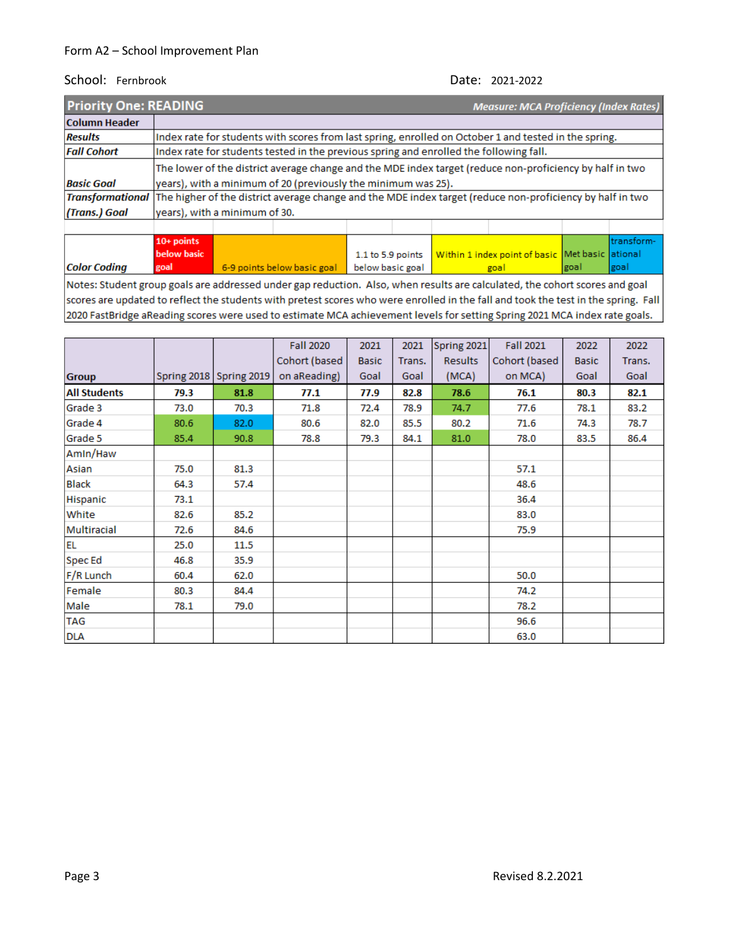| <b>Priority One: READING</b> | <b>Measure: MCA Proficiency (Index Rates)</b>                                                                              |                                                                                                       |                                                               |  |  |  |  |  |  |
|------------------------------|----------------------------------------------------------------------------------------------------------------------------|-------------------------------------------------------------------------------------------------------|---------------------------------------------------------------|--|--|--|--|--|--|
| <b>Column Header</b>         |                                                                                                                            |                                                                                                       |                                                               |  |  |  |  |  |  |
| <b>Results</b>               |                                                                                                                            | Index rate for students with scores from last spring, enrolled on October 1 and tested in the spring. |                                                               |  |  |  |  |  |  |
| <b>Fall Cohort</b>           |                                                                                                                            | Index rate for students tested in the previous spring and enrolled the following fall.                |                                                               |  |  |  |  |  |  |
|                              | The lower of the district average change and the MDE index target (reduce non-proficiency by half in two                   |                                                                                                       |                                                               |  |  |  |  |  |  |
| <b>Basic Goal</b>            |                                                                                                                            |                                                                                                       | years), with a minimum of 20 (previously the minimum was 25). |  |  |  |  |  |  |
|                              | Transformational The higher of the district average change and the MDE index target (reduce non-proficiency by half in two |                                                                                                       |                                                               |  |  |  |  |  |  |
| (Trans.) Goal                | years), with a minimum of 30.                                                                                              |                                                                                                       |                                                               |  |  |  |  |  |  |
|                              |                                                                                                                            |                                                                                                       |                                                               |  |  |  |  |  |  |
|                              | $40.5 - 1.1$                                                                                                               |                                                                                                       |                                                               |  |  |  |  |  |  |

|                                                                                                                              | $10+$ points |                                                |  |                                                                         |      | Itransform- |  |  |
|------------------------------------------------------------------------------------------------------------------------------|--------------|------------------------------------------------|--|-------------------------------------------------------------------------|------|-------------|--|--|
|                                                                                                                              | below basic  |                                                |  | 1.1 to 5.9 points   Within 1 index point of basic   Met basic   ational |      |             |  |  |
| <b>Color Coding</b>                                                                                                          | goal         | 6-9 points below basic goal   below basic goal |  | goal                                                                    | goal | goal        |  |  |
| Notacy Student group goals are addressed under gan reduction. Also, when results are calculated, the sehert scenes and goal. |              |                                                |  |                                                                         |      |             |  |  |

Notes: Student group goals are addressed under gap reduction. Also, when results are calculated, the cohort scores and goal scores are updated to reflect the students with pretest scores who were enrolled in the fall and took the test in the spring. Fall 2020 FastBridge aReading scores were used to estimate MCA achievement levels for setting Spring 2021 MCA index rate goals.

|                     |      |                         | <b>Fall 2020</b> | 2021         | 2021   | Spring 2021    | <b>Fall 2021</b> | 2022         | 2022   |
|---------------------|------|-------------------------|------------------|--------------|--------|----------------|------------------|--------------|--------|
|                     |      |                         | Cohort (based    | <b>Basic</b> | Trans. | <b>Results</b> | Cohort (based    | <b>Basic</b> | Trans. |
| <b>Group</b>        |      | Spring 2018 Spring 2019 | on aReading)     | Goal         | Goal   | (MCA)          | on MCA)          | Goal         | Goal   |
| <b>All Students</b> | 79.3 | 81.8                    | 77.1             | 77.9         | 82.8   | 78.6           | 76.1             | 80.3         | 82.1   |
| Grade 3             | 73.0 | 70.3                    | 71.8             | 72.4         | 78.9   | 74.7           | 77.6             | 78.1         | 83.2   |
| Grade 4             | 80.6 | 82.0                    | 80.6             | 82.0         | 85.5   | 80.2           | 71.6             | 74.3         | 78.7   |
| Grade 5             | 85.4 | 90.8                    | 78.8             | 79.3         | 84.1   | 81.0           | 78.0             | 83.5         | 86.4   |
| Amin/Haw            |      |                         |                  |              |        |                |                  |              |        |
| Asian               | 75.0 | 81.3                    |                  |              |        |                | 57.1             |              |        |
| <b>Black</b>        | 64.3 | 57.4                    |                  |              |        |                | 48.6             |              |        |
| Hispanic            | 73.1 |                         |                  |              |        |                | 36.4             |              |        |
| White               | 82.6 | 85.2                    |                  |              |        |                | 83.0             |              |        |
| Multiracial         | 72.6 | 84.6                    |                  |              |        |                | 75.9             |              |        |
| <b>EL</b>           | 25.0 | 11.5                    |                  |              |        |                |                  |              |        |
| <b>Spec Ed</b>      | 46.8 | 35.9                    |                  |              |        |                |                  |              |        |
| F/R Lunch           | 60.4 | 62.0                    |                  |              |        |                | 50.0             |              |        |
| Female              | 80.3 | 84.4                    |                  |              |        |                | 74.2             |              |        |
| Male                | 78.1 | 79.0                    |                  |              |        |                | 78.2             |              |        |
| <b>TAG</b>          |      |                         |                  |              |        |                | 96.6             |              |        |
| <b>DLA</b>          |      |                         |                  |              |        |                | 63.0             |              |        |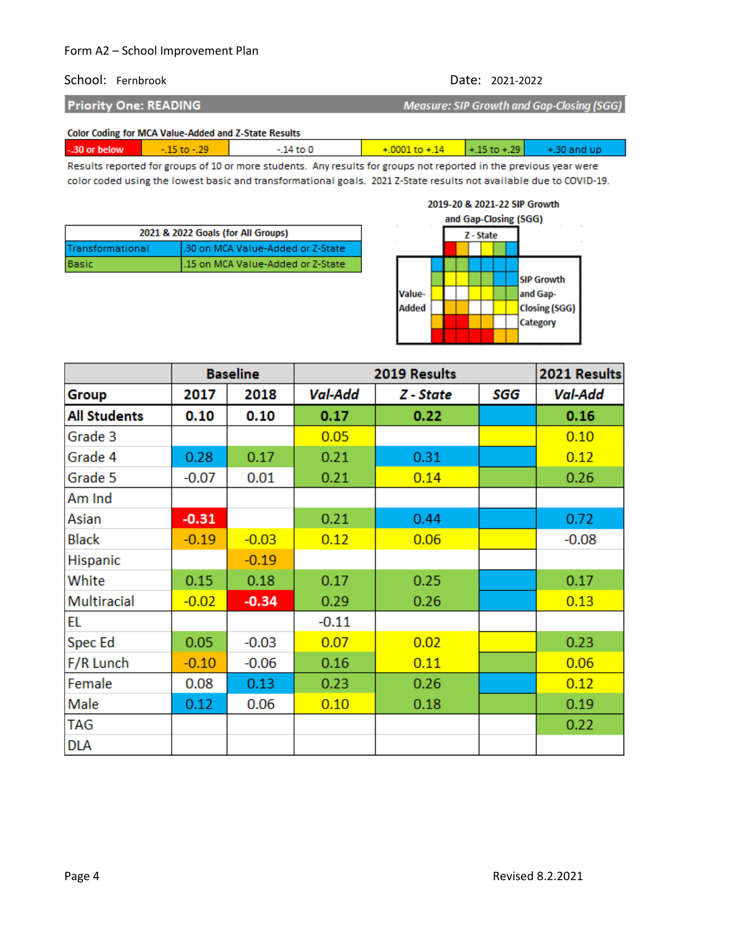#### School: Fernbrook Date: 2021-2022

**Priority One: READING** 

Measure: SIP Growth and Gap-Closing (SGG)

Color Coding for MCA Value-Added and Z-State Results

| $+15$ to $+29$<br>-.30 or below<br>14 to 0<br>+30 and up<br>$+0001$ to $+14$<br>$-10 - 79$ |
|--------------------------------------------------------------------------------------------|
|--------------------------------------------------------------------------------------------|

Results reported for groups of 10 or more students. Any results for groups not reported in the previous year were color coded using the lowest basic and transformational goals. 2021 Z-State results not available due to COVID-19.

| 2021 & 2022 Goals (for All Groups) |                                   |  |  |  |  |
|------------------------------------|-----------------------------------|--|--|--|--|
| Transformational                   | .30 on MCA Value-Added or Z-State |  |  |  |  |
| Basic                              | .15 on MCA Value-Added or Z-State |  |  |  |  |



|                     |         | <b>Baseline</b> |                | 2019 Results |     | 2021 Results |
|---------------------|---------|-----------------|----------------|--------------|-----|--------------|
| Group               | 2017    | 2018            | <b>Val-Add</b> | Z - State    | SGG | Val-Add      |
| <b>All Students</b> | 0.10    | 0.10            | 0.17           | 0.22         |     | 0.16         |
| Grade 3             |         |                 | 0.05           |              |     | 0.10         |
| Grade 4             | 0.28    | 0.17            | 0.21           | 0.31         |     | 0.12         |
| Grade 5             | $-0.07$ | 0.01            | 0.21           | 0.14         |     | 0.26         |
| Am Ind              |         |                 |                |              |     |              |
| Asian               | $-0.31$ |                 | 0.21           | 0.44         |     | 0.72         |
| <b>Black</b>        | $-0.19$ | $-0.03$         | 0.12           | 0.06         |     | $-0.08$      |
| Hispanic            |         | $-0.19$         |                |              |     |              |
| White               | 0.15    | 0.18            | 0.17           | 0.25         |     | 0.17         |
| Multiracial         | $-0.02$ | $-0.34$         | 0.29           | 0.26         |     | 0.13         |
| EL                  |         |                 | $-0.11$        |              |     |              |
| Spec Ed             | 0.05    | $-0.03$         | 0.07           | 0.02         |     | 0.23         |
| F/R Lunch           | $-0.10$ | $-0.06$         | 0.16           | 0.11         |     | 0.06         |
| Female              | 0.08    | 0.13            | 0.23           | 0.26         |     | 0.12         |
| Male                | 0.12    | 0.06            | 0.10           | 0.18         |     | 0.19         |
| TAG                 |         |                 |                |              |     | 0.22         |
| <b>DLA</b>          |         |                 |                |              |     |              |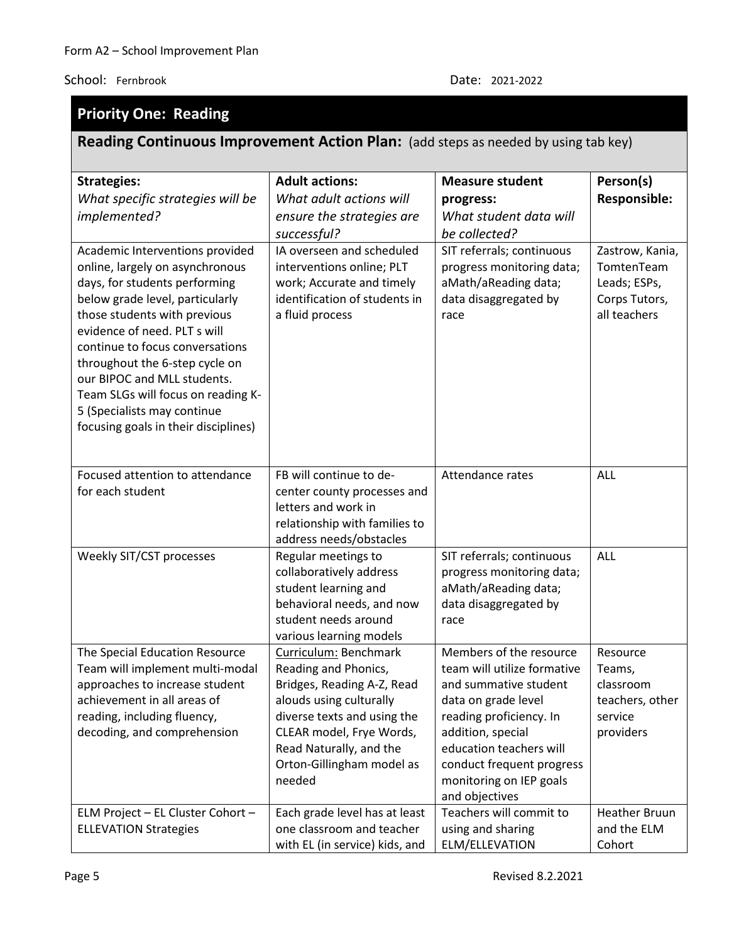# **Priority One: Reading**

# **Reading Continuous Improvement Action Plan:** (add steps as needed by using tab key)

| <b>Strategies:</b>                                                                                                                                                                                                                                                                                                                                                                                                      | <b>Adult actions:</b>                                                                                                                                                                                                               | <b>Measure student</b>                                                                                                                                                                                                                                      | Person(s)                                                                      |
|-------------------------------------------------------------------------------------------------------------------------------------------------------------------------------------------------------------------------------------------------------------------------------------------------------------------------------------------------------------------------------------------------------------------------|-------------------------------------------------------------------------------------------------------------------------------------------------------------------------------------------------------------------------------------|-------------------------------------------------------------------------------------------------------------------------------------------------------------------------------------------------------------------------------------------------------------|--------------------------------------------------------------------------------|
| What specific strategies will be                                                                                                                                                                                                                                                                                                                                                                                        | What adult actions will                                                                                                                                                                                                             | progress:                                                                                                                                                                                                                                                   | <b>Responsible:</b>                                                            |
| implemented?                                                                                                                                                                                                                                                                                                                                                                                                            | ensure the strategies are                                                                                                                                                                                                           | What student data will                                                                                                                                                                                                                                      |                                                                                |
|                                                                                                                                                                                                                                                                                                                                                                                                                         | successful?                                                                                                                                                                                                                         | be collected?                                                                                                                                                                                                                                               |                                                                                |
| Academic Interventions provided<br>online, largely on asynchronous<br>days, for students performing<br>below grade level, particularly<br>those students with previous<br>evidence of need. PLT s will<br>continue to focus conversations<br>throughout the 6-step cycle on<br>our BIPOC and MLL students.<br>Team SLGs will focus on reading K-<br>5 (Specialists may continue<br>focusing goals in their disciplines) | IA overseen and scheduled<br>interventions online; PLT<br>work; Accurate and timely<br>identification of students in<br>a fluid process                                                                                             | SIT referrals; continuous<br>progress monitoring data;<br>aMath/aReading data;<br>data disaggregated by<br>race                                                                                                                                             | Zastrow, Kania,<br>TomtenTeam<br>Leads; ESPs,<br>Corps Tutors,<br>all teachers |
| Focused attention to attendance<br>for each student                                                                                                                                                                                                                                                                                                                                                                     | FB will continue to de-<br>center county processes and<br>letters and work in<br>relationship with families to<br>address needs/obstacles                                                                                           | Attendance rates                                                                                                                                                                                                                                            | ALL                                                                            |
| Weekly SIT/CST processes                                                                                                                                                                                                                                                                                                                                                                                                | Regular meetings to<br>collaboratively address<br>student learning and<br>behavioral needs, and now<br>student needs around<br>various learning models                                                                              | SIT referrals; continuous<br>progress monitoring data;<br>aMath/aReading data;<br>data disaggregated by<br>race                                                                                                                                             | ALL                                                                            |
| The Special Education Resource<br>Team will implement multi-modal<br>approaches to increase student<br>achievement in all areas of<br>reading, including fluency,<br>decoding, and comprehension                                                                                                                                                                                                                        | Curriculum: Benchmark<br>Reading and Phonics,<br>Bridges, Reading A-Z, Read<br>alouds using culturally<br>diverse texts and using the<br>CLEAR model, Frye Words,<br>Read Naturally, and the<br>Orton-Gillingham model as<br>needed | Members of the resource<br>team will utilize formative<br>and summative student<br>data on grade level<br>reading proficiency. In<br>addition, special<br>education teachers will<br>conduct frequent progress<br>monitoring on IEP goals<br>and objectives | Resource<br>Teams,<br>classroom<br>teachers, other<br>service<br>providers     |
| ELM Project - EL Cluster Cohort -<br><b>ELLEVATION Strategies</b>                                                                                                                                                                                                                                                                                                                                                       | Each grade level has at least<br>one classroom and teacher<br>with EL (in service) kids, and                                                                                                                                        | Teachers will commit to<br>using and sharing<br>ELM/ELLEVATION                                                                                                                                                                                              | <b>Heather Bruun</b><br>and the ELM<br>Cohort                                  |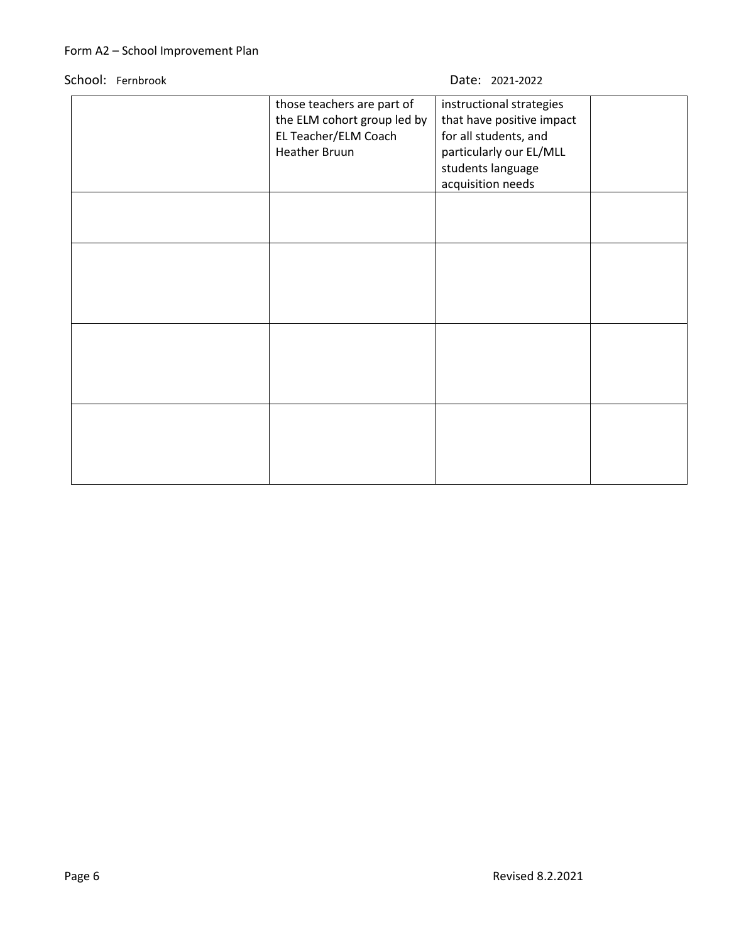| those teachers are part of<br>the ELM cohort group led by<br>EL Teacher/ELM Coach<br><b>Heather Bruun</b> | instructional strategies<br>that have positive impact<br>for all students, and<br>particularly our EL/MLL<br>students language<br>acquisition needs |  |
|-----------------------------------------------------------------------------------------------------------|-----------------------------------------------------------------------------------------------------------------------------------------------------|--|
|                                                                                                           |                                                                                                                                                     |  |
|                                                                                                           |                                                                                                                                                     |  |
|                                                                                                           |                                                                                                                                                     |  |
|                                                                                                           |                                                                                                                                                     |  |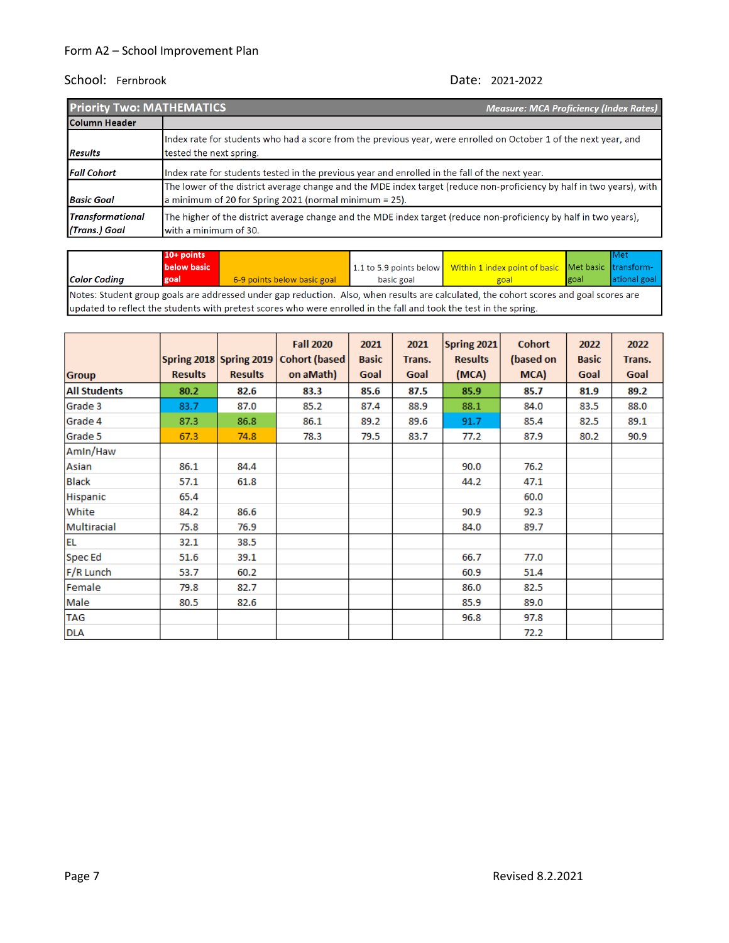| <b>Priority Two: MATHEMATICS</b>         | <b>Measure: MCA Proficiency (Index Rates)</b>                                                                                                                                   |
|------------------------------------------|---------------------------------------------------------------------------------------------------------------------------------------------------------------------------------|
| Column Header                            |                                                                                                                                                                                 |
| <b>Results</b>                           | Index rate for students who had a score from the previous year, were enrolled on October 1 of the next year, and<br>tested the next spring.                                     |
| <b>Fall Cohort</b>                       | Index rate for students tested in the previous year and enrolled in the fall of the next year.                                                                                  |
| <b>Basic Goal</b>                        | The lower of the district average change and the MDE index target (reduce non-proficiency by half in two years), with<br>a minimum of 20 for Spring 2021 (normal minimum = 25). |
| <b>Transformational</b><br>(Trans.) Goal | The higher of the district average change and the MDE index target (reduce non-proficiency by half in two years),<br>with a minimum of 30.                                      |

|                                                                                                                                        | $10+$ points |                             |            |                                                                                  |               | <b>IMet</b>   |
|----------------------------------------------------------------------------------------------------------------------------------------|--------------|-----------------------------|------------|----------------------------------------------------------------------------------|---------------|---------------|
|                                                                                                                                        | below basic  |                             |            | 1.1 to 5.9 points below   Within 1 index point of basic   Met basic   transform- |               |               |
| <b>Color Coding</b>                                                                                                                    | goal         | 6-9 points below basic goal | basic goal | goal                                                                             | <b>I</b> goal | lational goal |
| Notes: Student group goals are addressed under gap reduction. Also, when results are calculated, the cohort scores and goal scores are |              |                             |            |                                                                                  |               |               |

updated to reflect the students with pretest scores who were enrolled in the fall and took the test in the spring.

|                     |                |                         | <b>Fall 2020</b>      | 2021         | 2021   | Spring 2021    | <b>Cohort</b> | 2022         | 2022   |
|---------------------|----------------|-------------------------|-----------------------|--------------|--------|----------------|---------------|--------------|--------|
|                     |                | Spring 2018 Spring 2019 | <b>Cohort (based)</b> | <b>Basic</b> | Trans. | <b>Results</b> | (based on     | <b>Basic</b> | Trans. |
| <b>Group</b>        | <b>Results</b> | <b>Results</b>          | on aMath)             | Goal         | Goal   | (MCA)          | MCA)          | Goal         | Goal   |
| <b>All Students</b> | 80.2           | 82.6                    | 83.3                  | 85.6         | 87.5   | 85.9           | 85.7          | 81.9         | 89.2   |
| Grade 3             | 83.7           | 87.0                    | 85.2                  | 87.4         | 88.9   | 88.1           | 84.0          | 83.5         | 88.0   |
| Grade 4             | 87.3           | 86.8                    | 86.1                  | 89.2         | 89.6   | 91.7           | 85.4          | 82.5         | 89.1   |
| Grade 5             | 67.3           | 74.8                    | 78.3                  | 79.5         | 83.7   | 77.2           | 87.9          | 80.2         | 90.9   |
| Amin/Haw            |                |                         |                       |              |        |                |               |              |        |
| Asian               | 86.1           | 84.4                    |                       |              |        | 90.0           | 76.2          |              |        |
| <b>Black</b>        | 57.1           | 61.8                    |                       |              |        | 44.2           | 47.1          |              |        |
| Hispanic            | 65.4           |                         |                       |              |        |                | 60.0          |              |        |
| White               | 84.2           | 86.6                    |                       |              |        | 90.9           | 92.3          |              |        |
| Multiracial         | 75.8           | 76.9                    |                       |              |        | 84.0           | 89.7          |              |        |
| <b>EL</b>           | 32.1           | 38.5                    |                       |              |        |                |               |              |        |
| <b>Spec Ed</b>      | 51.6           | 39.1                    |                       |              |        | 66.7           | 77.0          |              |        |
| F/R Lunch           | 53.7           | 60.2                    |                       |              |        | 60.9           | 51.4          |              |        |
| Female              | 79.8           | 82.7                    |                       |              |        | 86.0           | 82.5          |              |        |
| Male                | 80.5           | 82.6                    |                       |              |        | 85.9           | 89.0          |              |        |
| <b>TAG</b>          |                |                         |                       |              |        | 96.8           | 97.8          |              |        |
| <b>DLA</b>          |                |                         |                       |              |        |                | 72.2          |              |        |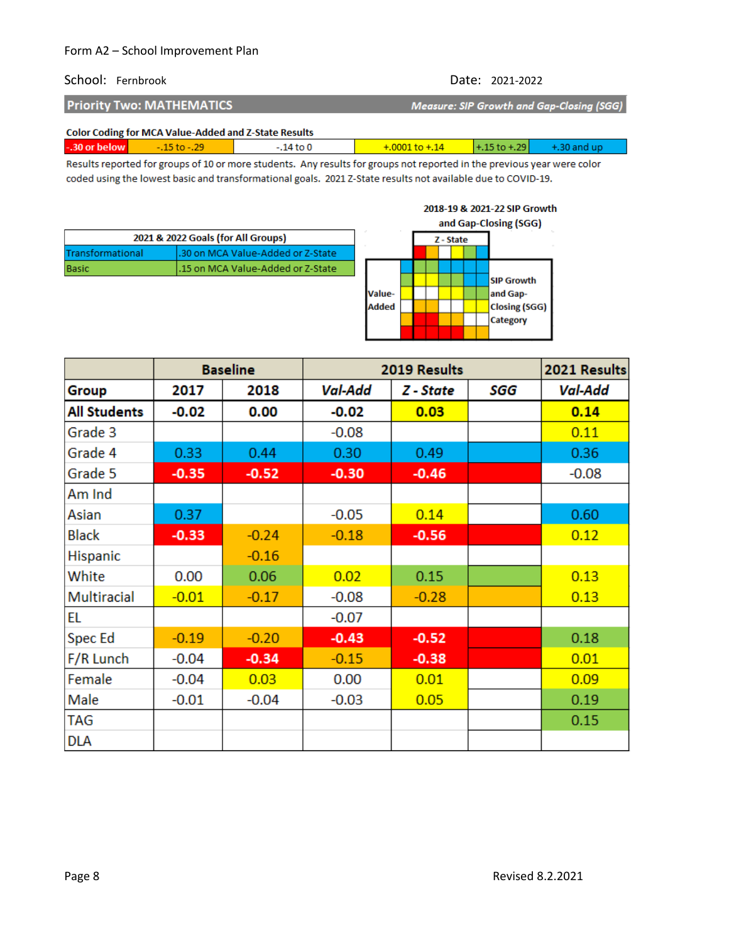#### School: Fernbrook Date: 2021-2022

2018-19 & 2021-22 SIP Growth

| <b>Priority Two: MATHEMATICS</b> | Measure: SIP Growth and Gap-Closing (SGG) |
|----------------------------------|-------------------------------------------|
|                                  |                                           |

| <b>Color Coding for MCA Value-Added and Z-State Results</b> |                |            |                                               |  |  |
|-------------------------------------------------------------|----------------|------------|-----------------------------------------------|--|--|
| $-30$ or below                                              | $-15$ to $-29$ | $-14$ to 0 | $+0.001$ to $+14$ $+15$ to $+29$ $+30$ and up |  |  |

Results reported for groups of 10 or more students. Any results for groups not reported in the previous year were color coded using the lowest basic and transformational goals. 2021 Z-State results not available due to COVID-19.

|                  |                                    |              |  |           |  | and Gap-Closing (SGG) |
|------------------|------------------------------------|--------------|--|-----------|--|-----------------------|
|                  | 2021 & 2022 Goals (for All Groups) |              |  | Z - State |  |                       |
| Transformational | .30 on MCA Value-Added or Z-State  |              |  |           |  |                       |
| Basic            | .15 on MCA Value-Added or Z-State  |              |  |           |  |                       |
|                  |                                    |              |  |           |  | <b>SIP Growth</b>     |
|                  |                                    | Value-       |  |           |  | and Gap-              |
|                  |                                    | <b>Added</b> |  |           |  | <b>Closing (SGG)</b>  |
|                  |                                    |              |  |           |  | Category              |
|                  |                                    |              |  |           |  |                       |

|                     | <b>Baseline</b> |         | 2019 Results   | 2021 Results |     |                |
|---------------------|-----------------|---------|----------------|--------------|-----|----------------|
| Group               | 2017            | 2018    | <b>Val-Add</b> | Z - State    | SGG | <b>Val-Add</b> |
| <b>All Students</b> | $-0.02$         | 0.00    | $-0.02$        | 0.03         |     | 0.14           |
| Grade 3             |                 |         | $-0.08$        |              |     | 0.11           |
| Grade 4             | 0.33            | 0.44    | 0.30           | 0.49         |     | 0.36           |
| Grade 5             | $-0.35$         | $-0.52$ | $-0.30$        | $-0.46$      |     | $-0.08$        |
| Am Ind              |                 |         |                |              |     |                |
| Asian               | 0.37            |         | $-0.05$        | 0.14         |     | 0.60           |
| <b>Black</b>        | $-0.33$         | $-0.24$ | $-0.18$        | $-0.56$      |     | 0.12           |
| <b>Hispanic</b>     |                 | $-0.16$ |                |              |     |                |
| White               | 0.00            | 0.06    | 0.02           | 0.15         |     | 0.13           |
| Multiracial         | $-0.01$         | $-0.17$ | $-0.08$        | $-0.28$      |     | 0.13           |
| EL                  |                 |         | $-0.07$        |              |     |                |
| Spec Ed             | $-0.19$         | $-0.20$ | $-0.43$        | $-0.52$      |     | 0.18           |
| F/R Lunch           | $-0.04$         | $-0.34$ | $-0.15$        | $-0.38$      |     | 0.01           |
| Female              | $-0.04$         | 0.03    | 0.00           | 0.01         |     | 0.09           |
| Male                | $-0.01$         | $-0.04$ | $-0.03$        | 0.05         |     | 0.19           |
| TAG                 |                 |         |                |              |     | 0.15           |
| <b>DLA</b>          |                 |         |                |              |     |                |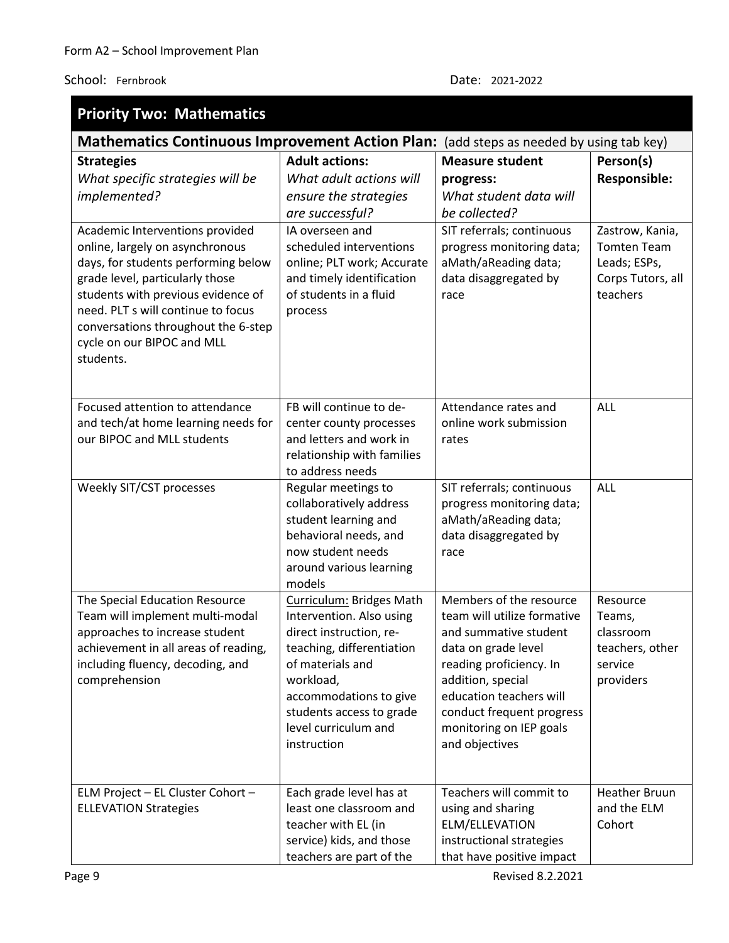| <b>Priority Two: Mathematics</b>                                                                                                                                                                                                                                                                                                                                                    |                                                                                                                                                                                                                                            |                                                                                                                                                                                                                                                             |                                                                                                                            |  |  |
|-------------------------------------------------------------------------------------------------------------------------------------------------------------------------------------------------------------------------------------------------------------------------------------------------------------------------------------------------------------------------------------|--------------------------------------------------------------------------------------------------------------------------------------------------------------------------------------------------------------------------------------------|-------------------------------------------------------------------------------------------------------------------------------------------------------------------------------------------------------------------------------------------------------------|----------------------------------------------------------------------------------------------------------------------------|--|--|
| Mathematics Continuous Improvement Action Plan: (add steps as needed by using tab key)                                                                                                                                                                                                                                                                                              |                                                                                                                                                                                                                                            |                                                                                                                                                                                                                                                             |                                                                                                                            |  |  |
| <b>Strategies</b><br>What specific strategies will be<br>implemented?<br>Academic Interventions provided<br>online, largely on asynchronous<br>days, for students performing below<br>grade level, particularly those<br>students with previous evidence of<br>need. PLT s will continue to focus<br>conversations throughout the 6-step<br>cycle on our BIPOC and MLL<br>students. | <b>Adult actions:</b><br>What adult actions will<br>ensure the strategies<br>are successful?<br>IA overseen and<br>scheduled interventions<br>online; PLT work; Accurate<br>and timely identification<br>of students in a fluid<br>process | <b>Measure student</b><br>progress:<br>What student data will<br>be collected?<br>SIT referrals; continuous<br>progress monitoring data;<br>aMath/aReading data;<br>data disaggregated by<br>race                                                           | Person(s)<br><b>Responsible:</b><br>Zastrow, Kania,<br><b>Tomten Team</b><br>Leads; ESPs,<br>Corps Tutors, all<br>teachers |  |  |
| Focused attention to attendance<br>and tech/at home learning needs for<br>our BIPOC and MLL students                                                                                                                                                                                                                                                                                | FB will continue to de-<br>center county processes<br>and letters and work in<br>relationship with families<br>to address needs                                                                                                            | Attendance rates and<br>online work submission<br>rates                                                                                                                                                                                                     | ALL                                                                                                                        |  |  |
| Weekly SIT/CST processes                                                                                                                                                                                                                                                                                                                                                            | Regular meetings to<br>collaboratively address<br>student learning and<br>behavioral needs, and<br>now student needs<br>around various learning<br>models                                                                                  | SIT referrals; continuous<br>progress monitoring data;<br>aMath/aReading data;<br>data disaggregated by<br>race                                                                                                                                             | ALL                                                                                                                        |  |  |
| The Special Education Resource<br>Team will implement multi-modal<br>approaches to increase student<br>achievement in all areas of reading,<br>including fluency, decoding, and<br>comprehension                                                                                                                                                                                    | Curriculum: Bridges Math<br>Intervention. Also using<br>direct instruction, re-<br>teaching, differentiation<br>of materials and<br>workload,<br>accommodations to give<br>students access to grade<br>level curriculum and<br>instruction | Members of the resource<br>team will utilize formative<br>and summative student<br>data on grade level<br>reading proficiency. In<br>addition, special<br>education teachers will<br>conduct frequent progress<br>monitoring on IEP goals<br>and objectives | Resource<br>Teams,<br>classroom<br>teachers, other<br>service<br>providers                                                 |  |  |
| ELM Project - EL Cluster Cohort -<br><b>ELLEVATION Strategies</b>                                                                                                                                                                                                                                                                                                                   | Each grade level has at<br>least one classroom and<br>teacher with EL (in<br>service) kids, and those<br>teachers are part of the                                                                                                          | Teachers will commit to<br>using and sharing<br>ELM/ELLEVATION<br>instructional strategies<br>that have positive impact                                                                                                                                     | <b>Heather Bruun</b><br>and the ELM<br>Cohort                                                                              |  |  |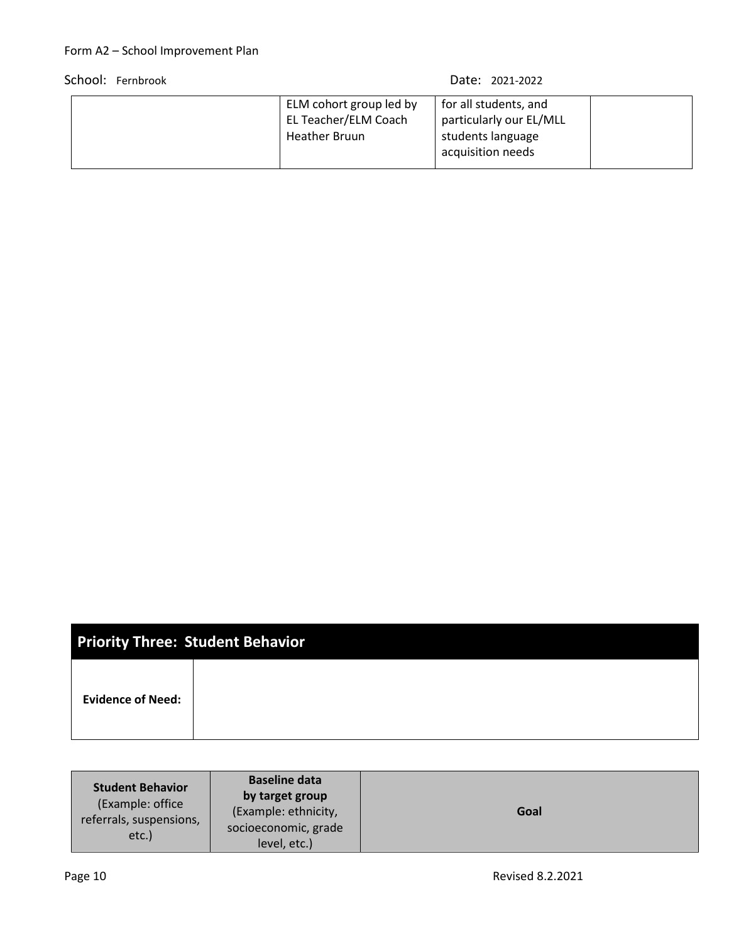|  | ELM cohort group led by<br>EL Teacher/ELM Coach<br><b>Heather Bruun</b> | for all students, and<br>particularly our EL/MLL<br>students language<br>acquisition needs |  |
|--|-------------------------------------------------------------------------|--------------------------------------------------------------------------------------------|--|
|--|-------------------------------------------------------------------------|--------------------------------------------------------------------------------------------|--|

| <b>Priority Three: Student Behavior</b> |  |  |
|-----------------------------------------|--|--|
| <b>Evidence of Need:</b>                |  |  |

| <b>Student Behavior</b><br>(Example: office<br>referrals, suspensions,<br>etc.) | <b>Baseline data</b><br>by target group<br>(Example: ethnicity,<br>socioeconomic, grade | Goal |
|---------------------------------------------------------------------------------|-----------------------------------------------------------------------------------------|------|
|                                                                                 | level, etc.)                                                                            |      |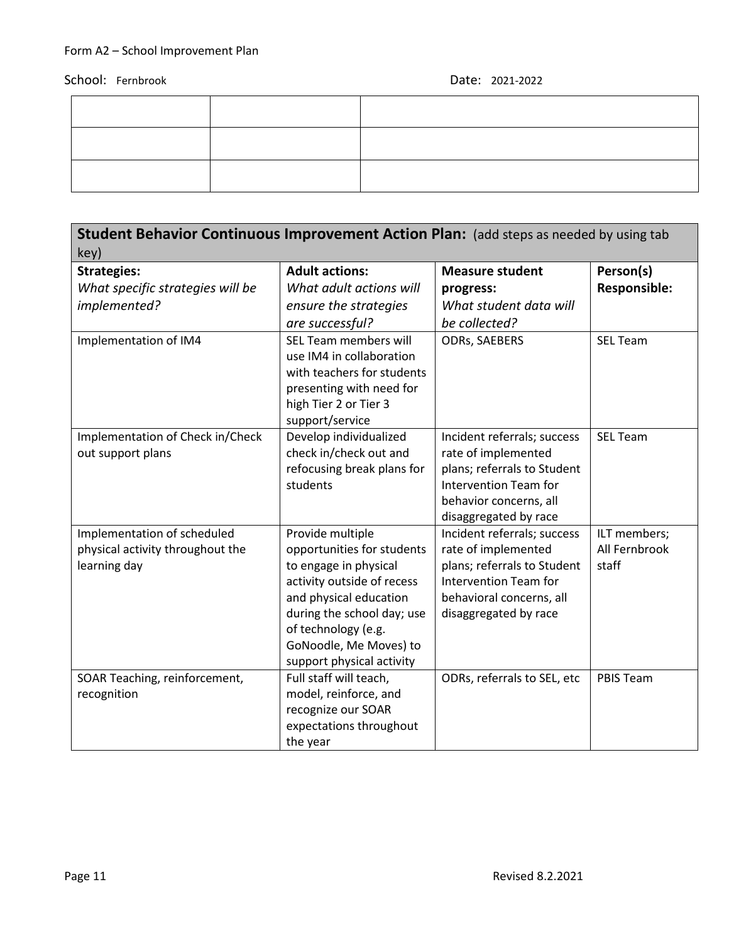| Student Behavior Continuous Improvement Action Plan: (add steps as needed by using tab |                                                |                                                    |                               |
|----------------------------------------------------------------------------------------|------------------------------------------------|----------------------------------------------------|-------------------------------|
| key)                                                                                   |                                                |                                                    |                               |
| <b>Strategies:</b>                                                                     | <b>Adult actions:</b>                          | <b>Measure student</b>                             | Person(s)                     |
| What specific strategies will be                                                       | What adult actions will                        | progress:                                          | <b>Responsible:</b>           |
| implemented?                                                                           | ensure the strategies                          | What student data will                             |                               |
|                                                                                        | are successful?                                | be collected?                                      |                               |
| Implementation of IM4                                                                  | SEL Team members will                          | ODRs, SAEBERS                                      | <b>SEL Team</b>               |
|                                                                                        | use IM4 in collaboration                       |                                                    |                               |
|                                                                                        | with teachers for students                     |                                                    |                               |
|                                                                                        | presenting with need for                       |                                                    |                               |
|                                                                                        | high Tier 2 or Tier 3                          |                                                    |                               |
|                                                                                        | support/service                                |                                                    |                               |
| Implementation of Check in/Check                                                       | Develop individualized                         | Incident referrals; success                        | <b>SEL Team</b>               |
| out support plans                                                                      | check in/check out and                         | rate of implemented                                |                               |
|                                                                                        | refocusing break plans for                     | plans; referrals to Student                        |                               |
|                                                                                        | students                                       | <b>Intervention Team for</b>                       |                               |
|                                                                                        |                                                | behavior concerns, all                             |                               |
|                                                                                        |                                                | disaggregated by race                              |                               |
| Implementation of scheduled<br>physical activity throughout the                        | Provide multiple<br>opportunities for students | Incident referrals; success<br>rate of implemented | ILT members;<br>All Fernbrook |
| learning day                                                                           | to engage in physical                          | plans; referrals to Student                        | staff                         |
|                                                                                        | activity outside of recess                     | <b>Intervention Team for</b>                       |                               |
|                                                                                        | and physical education                         | behavioral concerns, all                           |                               |
|                                                                                        | during the school day; use                     | disaggregated by race                              |                               |
|                                                                                        | of technology (e.g.                            |                                                    |                               |
|                                                                                        | GoNoodle, Me Moves) to                         |                                                    |                               |
|                                                                                        | support physical activity                      |                                                    |                               |
| SOAR Teaching, reinforcement,                                                          | Full staff will teach,                         | ODRs, referrals to SEL, etc                        | PBIS Team                     |
| recognition                                                                            | model, reinforce, and                          |                                                    |                               |
|                                                                                        | recognize our SOAR                             |                                                    |                               |
|                                                                                        | expectations throughout                        |                                                    |                               |
|                                                                                        | the year                                       |                                                    |                               |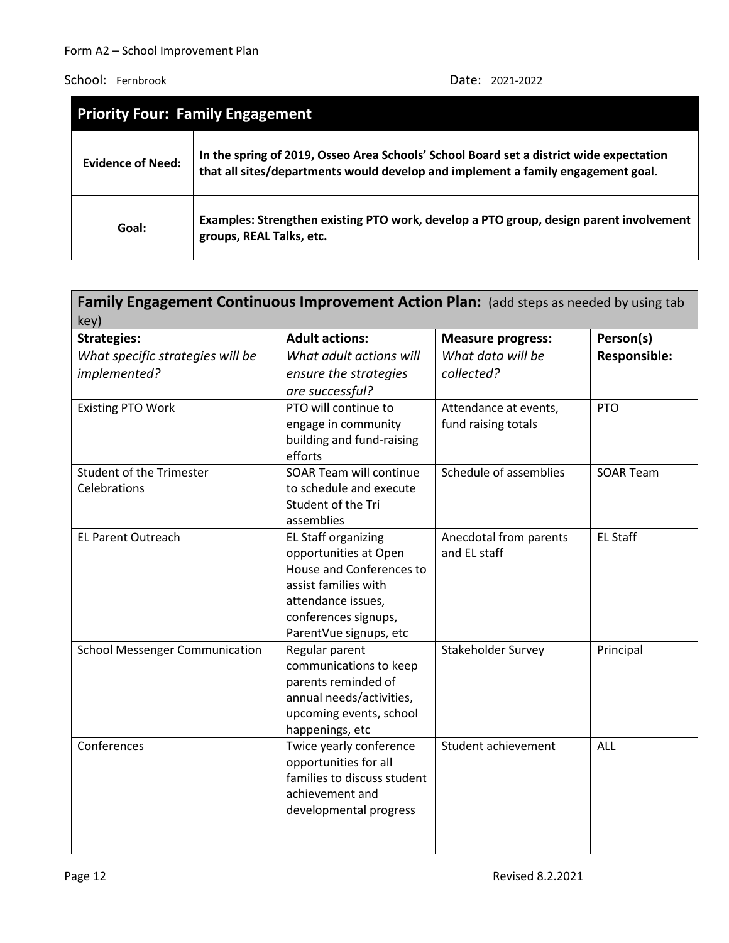| <b>Priority Four: Family Engagement</b> |                                                                                                                                                                             |  |  |
|-----------------------------------------|-----------------------------------------------------------------------------------------------------------------------------------------------------------------------------|--|--|
| <b>Evidence of Need:</b>                | In the spring of 2019, Osseo Area Schools' School Board set a district wide expectation<br>that all sites/departments would develop and implement a family engagement goal. |  |  |
| Goal:                                   | Examples: Strengthen existing PTO work, develop a PTO group, design parent involvement<br>groups, REAL Talks, etc.                                                          |  |  |

| Family Engagement Continuous Improvement Action Plan: (add steps as needed by using tab<br>key) |                                                |                          |                  |  |
|-------------------------------------------------------------------------------------------------|------------------------------------------------|--------------------------|------------------|--|
| <b>Strategies:</b>                                                                              | <b>Adult actions:</b>                          | <b>Measure progress:</b> | Person(s)        |  |
| What specific strategies will be                                                                | What adult actions will                        | What data will be        | Responsible:     |  |
| implemented?                                                                                    | ensure the strategies                          | collected?               |                  |  |
|                                                                                                 | are successful?                                |                          |                  |  |
| <b>Existing PTO Work</b>                                                                        | PTO will continue to                           | Attendance at events,    | <b>PTO</b>       |  |
|                                                                                                 | engage in community                            | fund raising totals      |                  |  |
|                                                                                                 | building and fund-raising                      |                          |                  |  |
|                                                                                                 | efforts                                        |                          |                  |  |
| <b>Student of the Trimester</b>                                                                 | SOAR Team will continue                        | Schedule of assemblies   | <b>SOAR Team</b> |  |
| Celebrations                                                                                    | to schedule and execute                        |                          |                  |  |
|                                                                                                 | Student of the Tri                             |                          |                  |  |
|                                                                                                 | assemblies                                     |                          |                  |  |
| <b>EL Parent Outreach</b>                                                                       | EL Staff organizing                            | Anecdotal from parents   | <b>EL Staff</b>  |  |
|                                                                                                 | opportunities at Open                          | and EL staff             |                  |  |
|                                                                                                 | House and Conferences to                       |                          |                  |  |
|                                                                                                 | assist families with                           |                          |                  |  |
|                                                                                                 | attendance issues,                             |                          |                  |  |
|                                                                                                 | conferences signups,<br>ParentVue signups, etc |                          |                  |  |
| <b>School Messenger Communication</b>                                                           | Regular parent                                 | Stakeholder Survey       | Principal        |  |
|                                                                                                 | communications to keep                         |                          |                  |  |
|                                                                                                 | parents reminded of                            |                          |                  |  |
|                                                                                                 | annual needs/activities,                       |                          |                  |  |
|                                                                                                 | upcoming events, school                        |                          |                  |  |
|                                                                                                 | happenings, etc                                |                          |                  |  |
| Conferences                                                                                     | Twice yearly conference                        | Student achievement      | ALL              |  |
|                                                                                                 | opportunities for all                          |                          |                  |  |
|                                                                                                 | families to discuss student                    |                          |                  |  |
|                                                                                                 | achievement and                                |                          |                  |  |
|                                                                                                 | developmental progress                         |                          |                  |  |
|                                                                                                 |                                                |                          |                  |  |
|                                                                                                 |                                                |                          |                  |  |